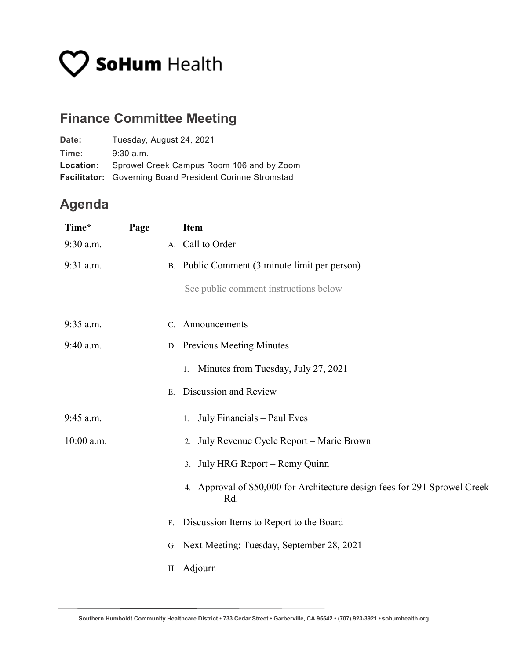# **V SoHum** Health

## **Finance Committee Meeting**

| Date: | Tuesday, August 24, 2021                                        |
|-------|-----------------------------------------------------------------|
| Time: | $9:30$ a.m.                                                     |
|       | <b>Location:</b> Sprowel Creek Campus Room 106 and by Zoom      |
|       | <b>Facilitator:</b> Governing Board President Corinne Stromstad |

### **Agenda**

| Time*      | Page |    | <b>Item</b>                                                                       |
|------------|------|----|-----------------------------------------------------------------------------------|
| 9:30 a.m.  |      |    | A. Call to Order                                                                  |
| 9:31 a.m.  |      |    | B. Public Comment (3 minute limit per person)                                     |
|            |      |    | See public comment instructions below                                             |
| 9:35 a.m.  |      |    | C. Announcements                                                                  |
| 9:40 a.m.  |      |    | D. Previous Meeting Minutes                                                       |
|            |      |    | Minutes from Tuesday, July 27, 2021<br>1.                                         |
|            |      | E. | Discussion and Review                                                             |
| 9:45 a.m.  |      |    | July Financials - Paul Eves<br>1.                                                 |
| 10:00 a.m. |      |    | 2. July Revenue Cycle Report - Marie Brown                                        |
|            |      |    | 3. July HRG Report – Remy Quinn                                                   |
|            |      |    | 4. Approval of \$50,000 for Architecture design fees for 291 Sprowel Creek<br>Rd. |
|            |      | F. | Discussion Items to Report to the Board                                           |
|            |      |    | G. Next Meeting: Tuesday, September 28, 2021                                      |
|            |      |    | H. Adjourn                                                                        |